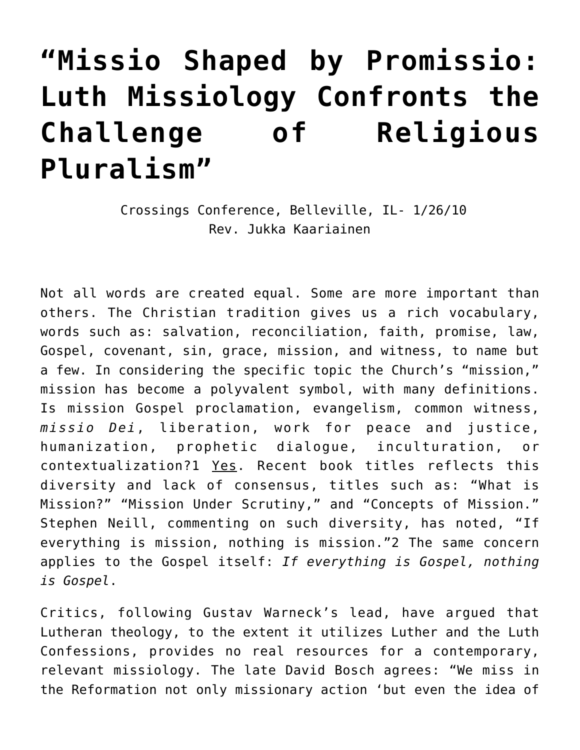# **["Missio Shaped by Promissio:](https://crossings.org/missio-shaped-by-promissio/) [Luth Missiology Confronts the](https://crossings.org/missio-shaped-by-promissio/) [Challenge of Religious](https://crossings.org/missio-shaped-by-promissio/) [Pluralism"](https://crossings.org/missio-shaped-by-promissio/)**

 Crossings Conference, Belleville, IL- 1/26/10 Rev. Jukka Kaariainen

Not all words are created equal. Some are more important than others. The Christian tradition gives us a rich vocabulary, words such as: salvation, reconciliation, faith, promise, law, Gospel, covenant, sin, grace, mission, and witness, to name but a few. In considering the specific topic the Church's "mission," mission has become a polyvalent symbol, with many definitions. Is mission Gospel proclamation, evangelism, common witness, *missio Dei*, liberation, work for peace and justice, humanization, prophetic dialogue, inculturation, or contextualization?1 Yes. Recent book titles reflects this diversity and lack of consensus, titles such as: "What is Mission?" "Mission Under Scrutiny," and "Concepts of Mission." Stephen Neill, commenting on such diversity, has noted, "If everything is mission, nothing is mission."2 The same concern applies to the Gospel itself: *If everything is Gospel, nothing is Gospel*.

Critics, following Gustav Warneck's lead, have argued that Lutheran theology, to the extent it utilizes Luther and the Luth Confessions, provides no real resources for a contemporary, relevant missiology. The late David Bosch agrees: "We miss in the Reformation not only missionary action 'but even the idea of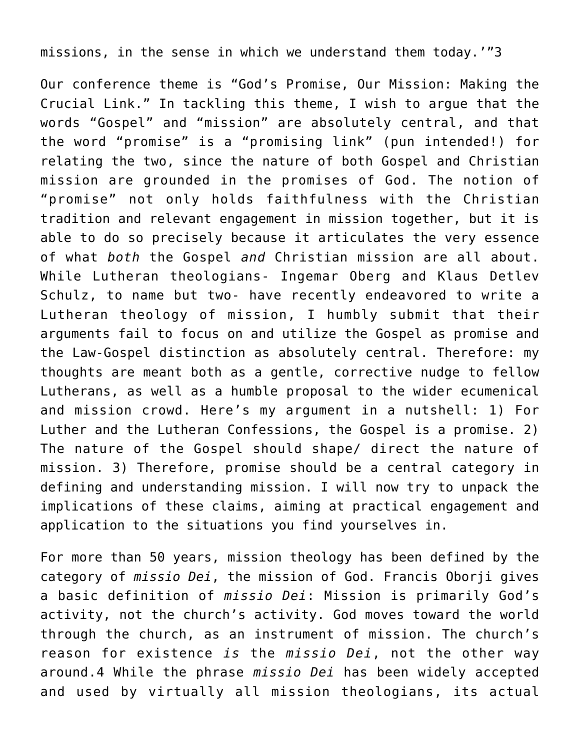missions, in the sense in which we understand them today.'"3

Our conference theme is "God's Promise, Our Mission: Making the Crucial Link." In tackling this theme, I wish to argue that the words "Gospel" and "mission" are absolutely central, and that the word "promise" is a "promising link" (pun intended!) for relating the two, since the nature of both Gospel and Christian mission are grounded in the promises of God. The notion of "promise" not only holds faithfulness with the Christian tradition and relevant engagement in mission together, but it is able to do so precisely because it articulates the very essence of what *both* the Gospel *and* Christian mission are all about. While Lutheran theologians- Ingemar Oberg and Klaus Detlev Schulz, to name but two- have recently endeavored to write a Lutheran theology of mission, I humbly submit that their arguments fail to focus on and utilize the Gospel as promise and the Law-Gospel distinction as absolutely central. Therefore: my thoughts are meant both as a gentle, corrective nudge to fellow Lutherans, as well as a humble proposal to the wider ecumenical and mission crowd. Here's my argument in a nutshell: 1) For Luther and the Lutheran Confessions, the Gospel is a promise. 2) The nature of the Gospel should shape/ direct the nature of mission. 3) Therefore, promise should be a central category in defining and understanding mission. I will now try to unpack the implications of these claims, aiming at practical engagement and application to the situations you find yourselves in.

For more than 50 years, mission theology has been defined by the category of *missio Dei*, the mission of God. Francis Oborji gives a basic definition of *missio Dei*: Mission is primarily God's activity, not the church's activity. God moves toward the world through the church, as an instrument of mission. The church's reason for existence *is* the *missio Dei*, not the other way around.4 While the phrase *missio Dei* has been widely accepted and used by virtually all mission theologians, its actual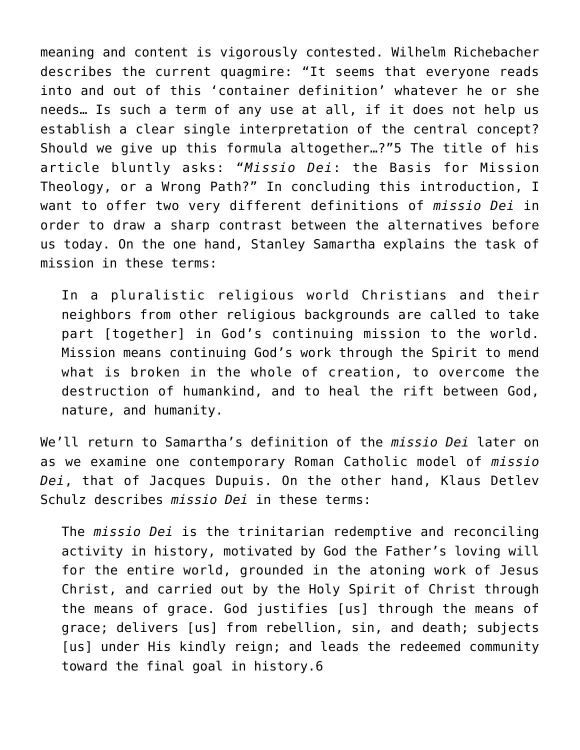meaning and content is vigorously contested. Wilhelm Richebacher describes the current quagmire: "It seems that everyone reads into and out of this 'container definition' whatever he or she needs… Is such a term of any use at all, if it does not help us establish a clear single interpretation of the central concept? Should we give up this formula altogether…?"5 The title of his article bluntly asks: "*Missio Dei*: the Basis for Mission Theology, or a Wrong Path?" In concluding this introduction, I want to offer two very different definitions of *missio Dei* in order to draw a sharp contrast between the alternatives before us today. On the one hand, Stanley Samartha explains the task of mission in these terms:

In a pluralistic religious world Christians and their neighbors from other religious backgrounds are called to take part [together] in God's continuing mission to the world. Mission means continuing God's work through the Spirit to mend what is broken in the whole of creation, to overcome the destruction of humankind, and to heal the rift between God, nature, and humanity.

We'll return to Samartha's definition of the *missio Dei* later on as we examine one contemporary Roman Catholic model of *missio Dei*, that of Jacques Dupuis. On the other hand, Klaus Detlev Schulz describes *missio Dei* in these terms:

The *missio Dei* is the trinitarian redemptive and reconciling activity in history, motivated by God the Father's loving will for the entire world, grounded in the atoning work of Jesus Christ, and carried out by the Holy Spirit of Christ through the means of grace. God justifies [us] through the means of grace; delivers [us] from rebellion, sin, and death; subjects [us] under His kindly reign; and leads the redeemed community toward the final goal in history.6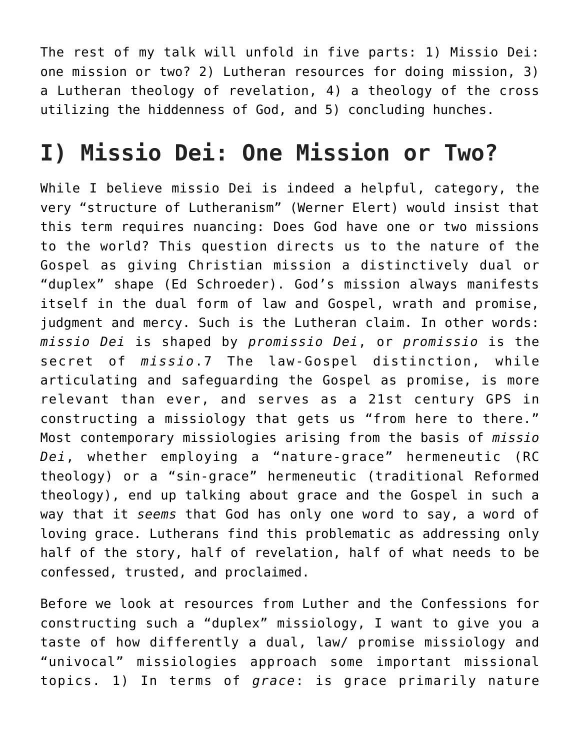The rest of my talk will unfold in five parts: 1) Missio Dei: one mission or two? 2) Lutheran resources for doing mission, 3) a Lutheran theology of revelation, 4) a theology of the cross utilizing the hiddenness of God, and 5) concluding hunches.

## **I) Missio Dei: One Mission or Two?**

While I believe missio Dei is indeed a helpful, category, the very "structure of Lutheranism" (Werner Elert) would insist that this term requires nuancing: Does God have one or two missions to the world? This question directs us to the nature of the Gospel as giving Christian mission a distinctively dual or "duplex" shape (Ed Schroeder). God's mission always manifests itself in the dual form of law and Gospel, wrath and promise, judgment and mercy. Such is the Lutheran claim. In other words: *missio Dei* is shaped by *promissio Dei*, or *promissio* is the secret of *missio*.7 The law-Gospel distinction, while articulating and safeguarding the Gospel as promise, is more relevant than ever, and serves as a 21st century GPS in constructing a missiology that gets us "from here to there." Most contemporary missiologies arising from the basis of *missio Dei*, whether employing a "nature-grace" hermeneutic (RC theology) or a "sin-grace" hermeneutic (traditional Reformed theology), end up talking about grace and the Gospel in such a way that it *seems* that God has only one word to say, a word of loving grace. Lutherans find this problematic as addressing only half of the story, half of revelation, half of what needs to be confessed, trusted, and proclaimed.

Before we look at resources from Luther and the Confessions for constructing such a "duplex" missiology, I want to give you a taste of how differently a dual, law/ promise missiology and "univocal" missiologies approach some important missional topics. 1) In terms of *grace*: is grace primarily nature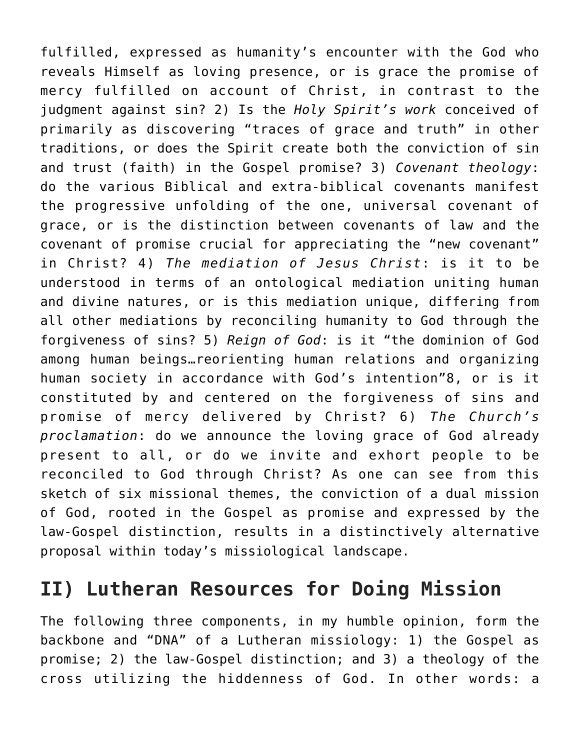fulfilled, expressed as humanity's encounter with the God who reveals Himself as loving presence, or is grace the promise of mercy fulfilled on account of Christ, in contrast to the judgment against sin? 2) Is the *Holy Spirit's work* conceived of primarily as discovering "traces of grace and truth" in other traditions, or does the Spirit create both the conviction of sin and trust (faith) in the Gospel promise? 3) *Covenant theology*: do the various Biblical and extra-biblical covenants manifest the progressive unfolding of the one, universal covenant of grace, or is the distinction between covenants of law and the covenant of promise crucial for appreciating the "new covenant" in Christ? 4) *The mediation of Jesus Christ*: is it to be understood in terms of an ontological mediation uniting human and divine natures, or is this mediation unique, differing from all other mediations by reconciling humanity to God through the forgiveness of sins? 5) *Reign of God*: is it "the dominion of God among human beings…reorienting human relations and organizing human society in accordance with God's intention"8, or is it constituted by and centered on the forgiveness of sins and promise of mercy delivered by Christ? 6) *The Church's proclamation*: do we announce the loving grace of God already present to all, or do we invite and exhort people to be reconciled to God through Christ? As one can see from this sketch of six missional themes, the conviction of a dual mission of God, rooted in the Gospel as promise and expressed by the law-Gospel distinction, results in a distinctively alternative proposal within today's missiological landscape.

#### **II) Lutheran Resources for Doing Mission**

The following three components, in my humble opinion, form the backbone and "DNA" of a Lutheran missiology: 1) the Gospel as promise; 2) the law-Gospel distinction; and 3) a theology of the cross utilizing the hiddenness of God. In other words: a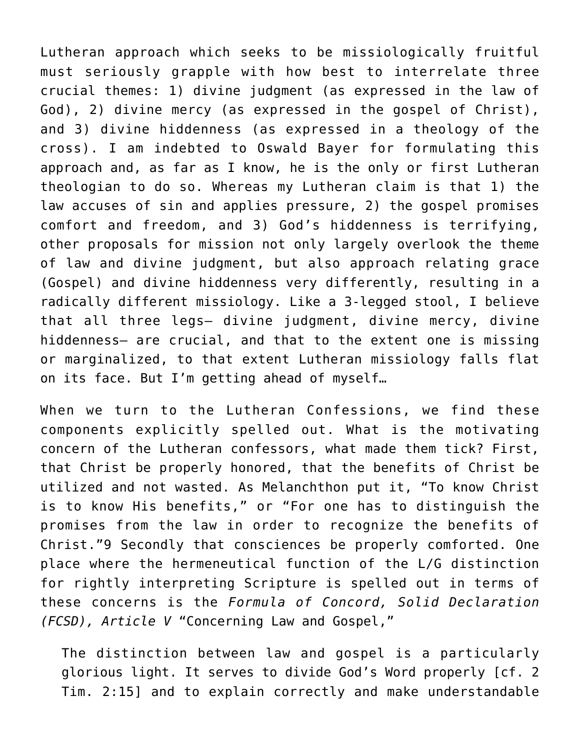Lutheran approach which seeks to be missiologically fruitful must seriously grapple with how best to interrelate three crucial themes: 1) divine judgment (as expressed in the law of God), 2) divine mercy (as expressed in the gospel of Christ), and 3) divine hiddenness (as expressed in a theology of the cross). I am indebted to Oswald Bayer for formulating this approach and, as far as I know, he is the only or first Lutheran theologian to do so. Whereas my Lutheran claim is that 1) the law accuses of sin and applies pressure, 2) the gospel promises comfort and freedom, and 3) God's hiddenness is terrifying, other proposals for mission not only largely overlook the theme of law and divine judgment, but also approach relating grace (Gospel) and divine hiddenness very differently, resulting in a radically different missiology. Like a 3-legged stool, I believe that all three legs– divine judgment, divine mercy, divine hiddenness– are crucial, and that to the extent one is missing or marginalized, to that extent Lutheran missiology falls flat on its face. But I'm getting ahead of myself…

When we turn to the Lutheran Confessions, we find these components explicitly spelled out. What is the motivating concern of the Lutheran confessors, what made them tick? First, that Christ be properly honored, that the benefits of Christ be utilized and not wasted. As Melanchthon put it, "To know Christ is to know His benefits," or "For one has to distinguish the promises from the law in order to recognize the benefits of Christ."9 Secondly that consciences be properly comforted. One place where the hermeneutical function of the L/G distinction for rightly interpreting Scripture is spelled out in terms of these concerns is the *Formula of Concord, Solid Declaration (FCSD), Article V* "Concerning Law and Gospel,"

The distinction between law and gospel is a particularly glorious light. It serves to divide God's Word properly [cf. 2 Tim. 2:15] and to explain correctly and make understandable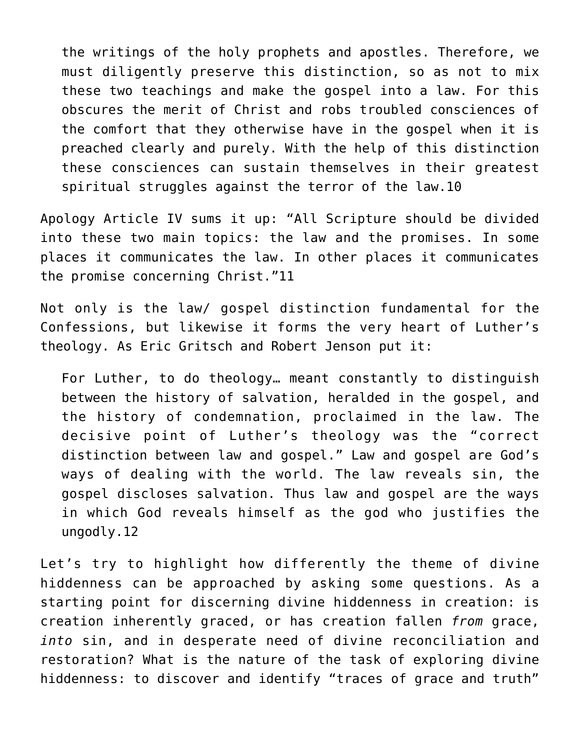the writings of the holy prophets and apostles. Therefore, we must diligently preserve this distinction, so as not to mix these two teachings and make the gospel into a law. For this obscures the merit of Christ and robs troubled consciences of the comfort that they otherwise have in the gospel when it is preached clearly and purely. With the help of this distinction these consciences can sustain themselves in their greatest spiritual struggles against the terror of the law.10

Apology Article IV sums it up: "All Scripture should be divided into these two main topics: the law and the promises. In some places it communicates the law. In other places it communicates the promise concerning Christ."11

Not only is the law/ gospel distinction fundamental for the Confessions, but likewise it forms the very heart of Luther's theology. As Eric Gritsch and Robert Jenson put it:

For Luther, to do theology… meant constantly to distinguish between the history of salvation, heralded in the gospel, and the history of condemnation, proclaimed in the law. The decisive point of Luther's theology was the "correct distinction between law and gospel." Law and gospel are God's ways of dealing with the world. The law reveals sin, the gospel discloses salvation. Thus law and gospel are the ways in which God reveals himself as the god who justifies the ungodly.12

Let's try to highlight how differently the theme of divine hiddenness can be approached by asking some questions. As a starting point for discerning divine hiddenness in creation: is creation inherently graced, or has creation fallen *from* grace, *into* sin, and in desperate need of divine reconciliation and restoration? What is the nature of the task of exploring divine hiddenness: to discover and identify "traces of grace and truth"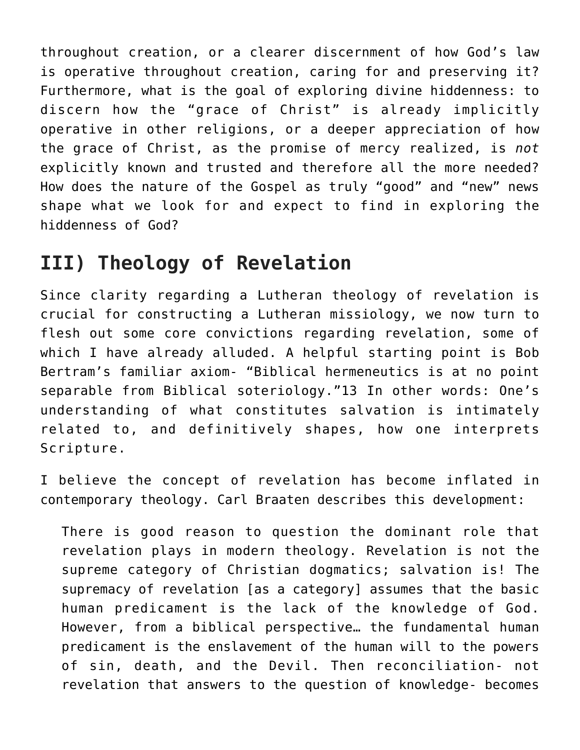throughout creation, or a clearer discernment of how God's law is operative throughout creation, caring for and preserving it? Furthermore, what is the goal of exploring divine hiddenness: to discern how the "grace of Christ" is already implicitly operative in other religions, or a deeper appreciation of how the grace of Christ, as the promise of mercy realized, is *not* explicitly known and trusted and therefore all the more needed? How does the nature of the Gospel as truly "good" and "new" news shape what we look for and expect to find in exploring the hiddenness of God?

#### **III) Theology of Revelation**

Since clarity regarding a Lutheran theology of revelation is crucial for constructing a Lutheran missiology, we now turn to flesh out some core convictions regarding revelation, some of which I have already alluded. A helpful starting point is Bob Bertram's familiar axiom- "Biblical hermeneutics is at no point separable from Biblical soteriology."13 In other words: One's understanding of what constitutes salvation is intimately related to, and definitively shapes, how one interprets Scripture.

I believe the concept of revelation has become inflated in contemporary theology. Carl Braaten describes this development:

There is good reason to question the dominant role that revelation plays in modern theology. Revelation is not the supreme category of Christian dogmatics; salvation is! The supremacy of revelation [as a category] assumes that the basic human predicament is the lack of the knowledge of God. However, from a biblical perspective… the fundamental human predicament is the enslavement of the human will to the powers of sin, death, and the Devil. Then reconciliation- not revelation that answers to the question of knowledge- becomes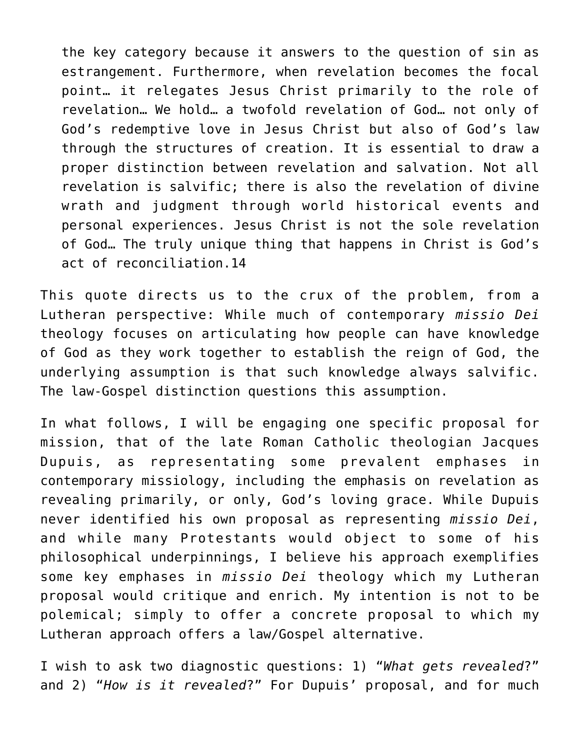the key category because it answers to the question of sin as estrangement. Furthermore, when revelation becomes the focal point… it relegates Jesus Christ primarily to the role of revelation… We hold… a twofold revelation of God… not only of God's redemptive love in Jesus Christ but also of God's law through the structures of creation. It is essential to draw a proper distinction between revelation and salvation. Not all revelation is salvific; there is also the revelation of divine wrath and judgment through world historical events and personal experiences. Jesus Christ is not the sole revelation of God… The truly unique thing that happens in Christ is God's act of reconciliation.14

This quote directs us to the crux of the problem, from a Lutheran perspective: While much of contemporary *missio Dei* theology focuses on articulating how people can have knowledge of God as they work together to establish the reign of God, the underlying assumption is that such knowledge always salvific. The law-Gospel distinction questions this assumption.

In what follows, I will be engaging one specific proposal for mission, that of the late Roman Catholic theologian Jacques Dupuis, as representating some prevalent emphases in contemporary missiology, including the emphasis on revelation as revealing primarily, or only, God's loving grace. While Dupuis never identified his own proposal as representing *missio Dei*, and while many Protestants would object to some of his philosophical underpinnings, I believe his approach exemplifies some key emphases in *missio Dei* theology which my Lutheran proposal would critique and enrich. My intention is not to be polemical; simply to offer a concrete proposal to which my Lutheran approach offers a law/Gospel alternative.

I wish to ask two diagnostic questions: 1) "*What gets revealed*?" and 2) "*How is it revealed*?" For Dupuis' proposal, and for much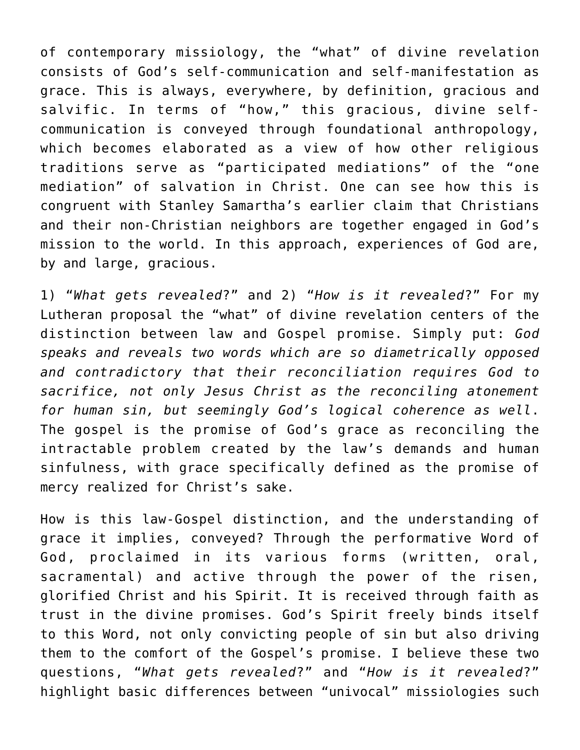of contemporary missiology, the "what" of divine revelation consists of God's self-communication and self-manifestation as grace. This is always, everywhere, by definition, gracious and salvific. In terms of "how," this gracious, divine selfcommunication is conveyed through foundational anthropology, which becomes elaborated as a view of how other religious traditions serve as "participated mediations" of the "one mediation" of salvation in Christ. One can see how this is congruent with Stanley Samartha's earlier claim that Christians and their non-Christian neighbors are together engaged in God's mission to the world. In this approach, experiences of God are, by and large, gracious.

1) "*What gets revealed*?" and 2) "*How is it revealed*?" For my Lutheran proposal the "what" of divine revelation centers of the distinction between law and Gospel promise. Simply put: *God speaks and reveals two words which are so diametrically opposed and contradictory that their reconciliation requires God to sacrifice, not only Jesus Christ as the reconciling atonement for human sin, but seemingly God's logical coherence as well*. The gospel is the promise of God's grace as reconciling the intractable problem created by the law's demands and human sinfulness, with grace specifically defined as the promise of mercy realized for Christ's sake.

How is this law-Gospel distinction, and the understanding of grace it implies, conveyed? Through the performative Word of God, proclaimed in its various forms (written, oral, sacramental) and active through the power of the risen, glorified Christ and his Spirit. It is received through faith as trust in the divine promises. God's Spirit freely binds itself to this Word, not only convicting people of sin but also driving them to the comfort of the Gospel's promise. I believe these two questions, "*What gets revealed*?" and "*How is it revealed*?" highlight basic differences between "univocal" missiologies such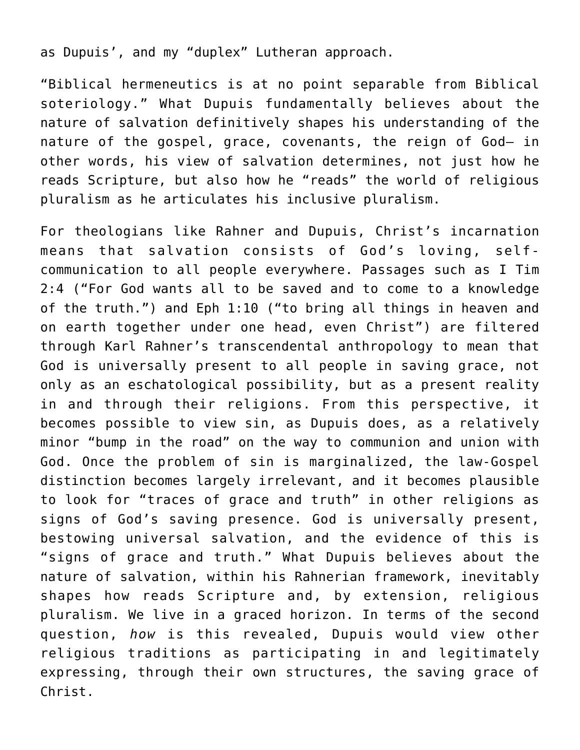as Dupuis', and my "duplex" Lutheran approach.

"Biblical hermeneutics is at no point separable from Biblical soteriology." What Dupuis fundamentally believes about the nature of salvation definitively shapes his understanding of the nature of the gospel, grace, covenants, the reign of God– in other words, his view of salvation determines, not just how he reads Scripture, but also how he "reads" the world of religious pluralism as he articulates his inclusive pluralism.

For theologians like Rahner and Dupuis, Christ's incarnation means that salvation consists of God's loving, selfcommunication to all people everywhere. Passages such as I Tim 2:4 ("For God wants all to be saved and to come to a knowledge of the truth.") and Eph 1:10 ("to bring all things in heaven and on earth together under one head, even Christ") are filtered through Karl Rahner's transcendental anthropology to mean that God is universally present to all people in saving grace, not only as an eschatological possibility, but as a present reality in and through their religions. From this perspective, it becomes possible to view sin, as Dupuis does, as a relatively minor "bump in the road" on the way to communion and union with God. Once the problem of sin is marginalized, the law-Gospel distinction becomes largely irrelevant, and it becomes plausible to look for "traces of grace and truth" in other religions as signs of God's saving presence. God is universally present, bestowing universal salvation, and the evidence of this is "signs of grace and truth." What Dupuis believes about the nature of salvation, within his Rahnerian framework, inevitably shapes how reads Scripture and, by extension, religious pluralism. We live in a graced horizon. In terms of the second question, *how* is this revealed, Dupuis would view other religious traditions as participating in and legitimately expressing, through their own structures, the saving grace of Christ.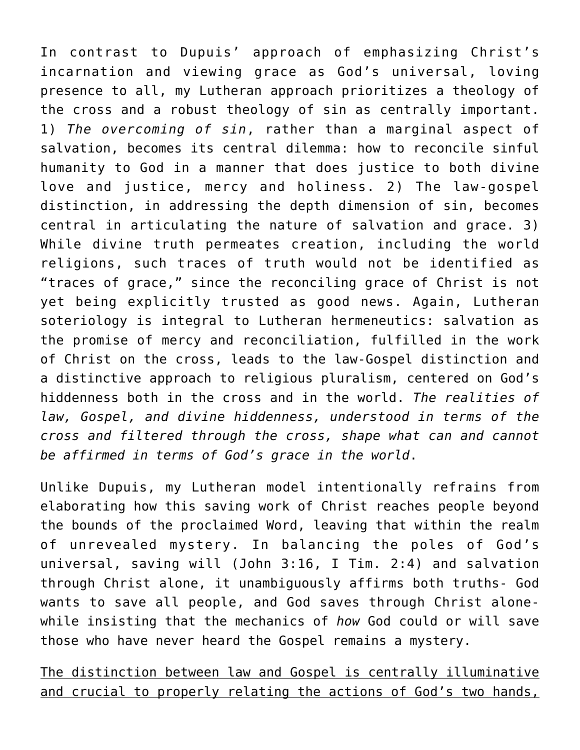In contrast to Dupuis' approach of emphasizing Christ's incarnation and viewing grace as God's universal, loving presence to all, my Lutheran approach prioritizes a theology of the cross and a robust theology of sin as centrally important. 1) *The overcoming of sin*, rather than a marginal aspect of salvation, becomes its central dilemma: how to reconcile sinful humanity to God in a manner that does justice to both divine love and justice, mercy and holiness. 2) The law-gospel distinction, in addressing the depth dimension of sin, becomes central in articulating the nature of salvation and grace. 3) While divine truth permeates creation, including the world religions, such traces of truth would not be identified as "traces of grace," since the reconciling grace of Christ is not yet being explicitly trusted as good news. Again, Lutheran soteriology is integral to Lutheran hermeneutics: salvation as the promise of mercy and reconciliation, fulfilled in the work of Christ on the cross, leads to the law-Gospel distinction and a distinctive approach to religious pluralism, centered on God's hiddenness both in the cross and in the world. *The realities of law, Gospel, and divine hiddenness, understood in terms of the cross and filtered through the cross, shape what can and cannot be affirmed in terms of God's grace in the world*.

Unlike Dupuis, my Lutheran model intentionally refrains from elaborating how this saving work of Christ reaches people beyond the bounds of the proclaimed Word, leaving that within the realm of unrevealed mystery. In balancing the poles of God's universal, saving will (John 3:16, I Tim. 2:4) and salvation through Christ alone, it unambiguously affirms both truths- God wants to save all people, and God saves through Christ alonewhile insisting that the mechanics of *how* God could or will save those who have never heard the Gospel remains a mystery.

The distinction between law and Gospel is centrally illuminative and crucial to properly relating the actions of God's two hands,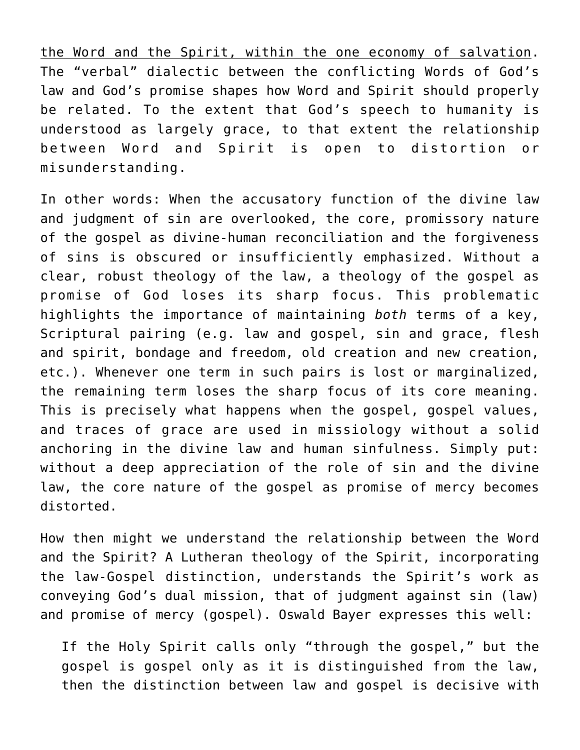the Word and the Spirit, within the one economy of salvation. The "verbal" dialectic between the conflicting Words of God's law and God's promise shapes how Word and Spirit should properly be related. To the extent that God's speech to humanity is understood as largely grace, to that extent the relationship between Word and Spirit is open to distortion or misunderstanding.

In other words: When the accusatory function of the divine law and judgment of sin are overlooked, the core, promissory nature of the gospel as divine-human reconciliation and the forgiveness of sins is obscured or insufficiently emphasized. Without a clear, robust theology of the law, a theology of the gospel as promise of God loses its sharp focus. This problematic highlights the importance of maintaining *both* terms of a key, Scriptural pairing (e.g. law and gospel, sin and grace, flesh and spirit, bondage and freedom, old creation and new creation, etc.). Whenever one term in such pairs is lost or marginalized, the remaining term loses the sharp focus of its core meaning. This is precisely what happens when the gospel, gospel values, and traces of grace are used in missiology without a solid anchoring in the divine law and human sinfulness. Simply put: without a deep appreciation of the role of sin and the divine law, the core nature of the gospel as promise of mercy becomes distorted.

How then might we understand the relationship between the Word and the Spirit? A Lutheran theology of the Spirit, incorporating the law-Gospel distinction, understands the Spirit's work as conveying God's dual mission, that of judgment against sin (law) and promise of mercy (gospel). Oswald Bayer expresses this well:

If the Holy Spirit calls only "through the gospel," but the gospel is gospel only as it is distinguished from the law, then the distinction between law and gospel is decisive with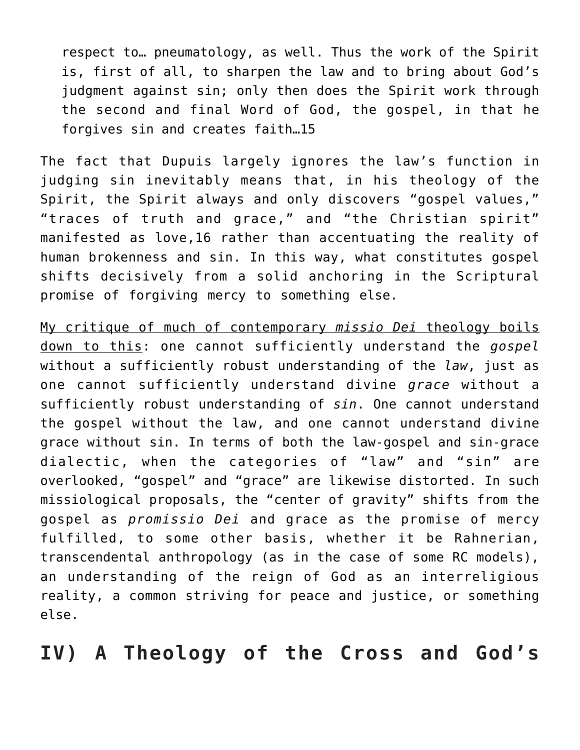respect to… pneumatology, as well. Thus the work of the Spirit is, first of all, to sharpen the law and to bring about God's judgment against sin; only then does the Spirit work through the second and final Word of God, the gospel, in that he forgives sin and creates faith…15

The fact that Dupuis largely ignores the law's function in judging sin inevitably means that, in his theology of the Spirit, the Spirit always and only discovers "gospel values," "traces of truth and grace," and "the Christian spirit" manifested as love,16 rather than accentuating the reality of human brokenness and sin. In this way, what constitutes gospel shifts decisively from a solid anchoring in the Scriptural promise of forgiving mercy to something else.

My critique of much of contemporary *missio Dei* theology boils down to this: one cannot sufficiently understand the *gospel* without a sufficiently robust understanding of the *law*, just as one cannot sufficiently understand divine *grace* without a sufficiently robust understanding of *sin*. One cannot understand the gospel without the law, and one cannot understand divine grace without sin. In terms of both the law-gospel and sin-grace dialectic, when the categories of "law" and "sin" are overlooked, "gospel" and "grace" are likewise distorted. In such missiological proposals, the "center of gravity" shifts from the gospel as *promissio Dei* and grace as the promise of mercy fulfilled, to some other basis, whether it be Rahnerian, transcendental anthropology (as in the case of some RC models), an understanding of the reign of God as an interreligious reality, a common striving for peace and justice, or something else.

**IV) A Theology of the Cross and God's**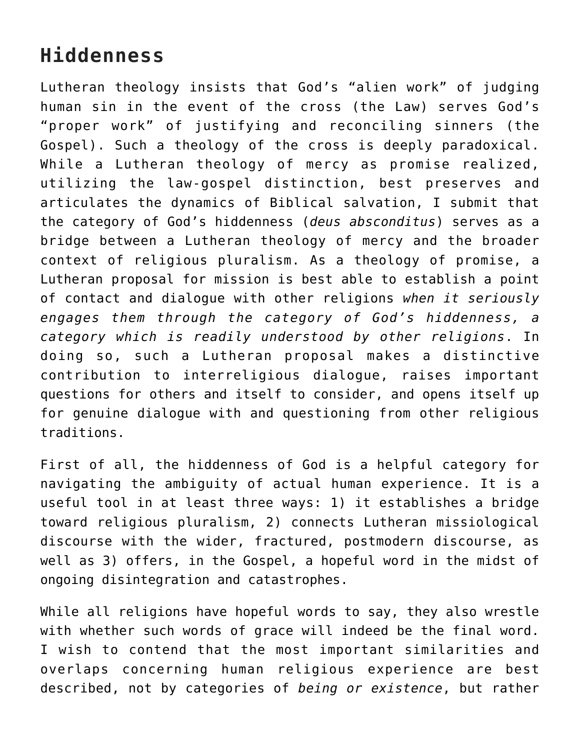#### **Hiddenness**

Lutheran theology insists that God's "alien work" of judging human sin in the event of the cross (the Law) serves God's "proper work" of justifying and reconciling sinners (the Gospel). Such a theology of the cross is deeply paradoxical. While a Lutheran theology of mercy as promise realized, utilizing the law-gospel distinction, best preserves and articulates the dynamics of Biblical salvation, I submit that the category of God's hiddenness (*deus absconditus*) serves as a bridge between a Lutheran theology of mercy and the broader context of religious pluralism. As a theology of promise, a Lutheran proposal for mission is best able to establish a point of contact and dialogue with other religions *when it seriously engages them through the category of God's hiddenness, a category which is readily understood by other religions*. In doing so, such a Lutheran proposal makes a distinctive contribution to interreligious dialogue, raises important questions for others and itself to consider, and opens itself up for genuine dialogue with and questioning from other religious traditions.

First of all, the hiddenness of God is a helpful category for navigating the ambiguity of actual human experience. It is a useful tool in at least three ways: 1) it establishes a bridge toward religious pluralism, 2) connects Lutheran missiological discourse with the wider, fractured, postmodern discourse, as well as 3) offers, in the Gospel, a hopeful word in the midst of ongoing disintegration and catastrophes.

While all religions have hopeful words to say, they also wrestle with whether such words of grace will indeed be the final word. I wish to contend that the most important similarities and overlaps concerning human religious experience are best described, not by categories of *being or existence*, but rather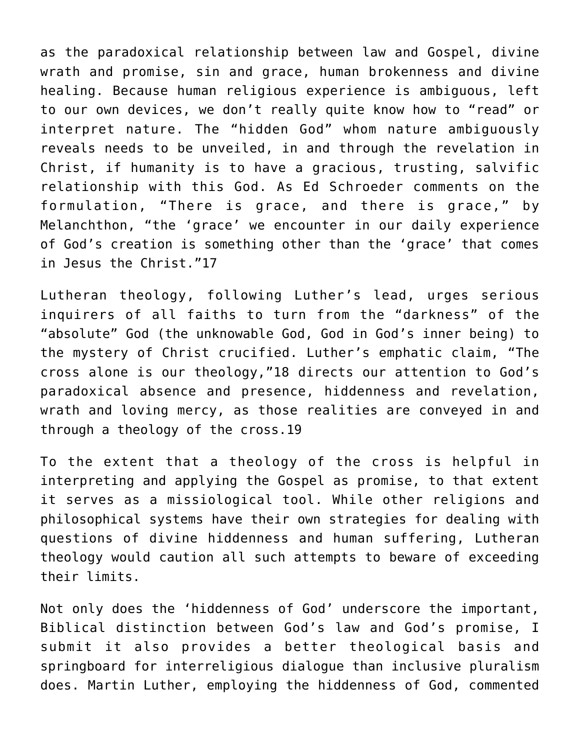as the paradoxical relationship between law and Gospel, divine wrath and promise, sin and grace, human brokenness and divine healing. Because human religious experience is ambiguous, left to our own devices, we don't really quite know how to "read" or interpret nature. The "hidden God" whom nature ambiguously reveals needs to be unveiled, in and through the revelation in Christ, if humanity is to have a gracious, trusting, salvific relationship with this God. As Ed Schroeder comments on the formulation, "There is grace, and there is grace," by Melanchthon, "the 'grace' we encounter in our daily experience of God's creation is something other than the 'grace' that comes in Jesus the Christ."17

Lutheran theology, following Luther's lead, urges serious inquirers of all faiths to turn from the "darkness" of the "absolute" God (the unknowable God, God in God's inner being) to the mystery of Christ crucified. Luther's emphatic claim, "The cross alone is our theology,"18 directs our attention to God's paradoxical absence and presence, hiddenness and revelation, wrath and loving mercy, as those realities are conveyed in and through a theology of the cross.19

To the extent that a theology of the cross is helpful in interpreting and applying the Gospel as promise, to that extent it serves as a missiological tool. While other religions and philosophical systems have their own strategies for dealing with questions of divine hiddenness and human suffering, Lutheran theology would caution all such attempts to beware of exceeding their limits.

Not only does the 'hiddenness of God' underscore the important, Biblical distinction between God's law and God's promise, I submit it also provides a better theological basis and springboard for interreligious dialogue than inclusive pluralism does. Martin Luther, employing the hiddenness of God, commented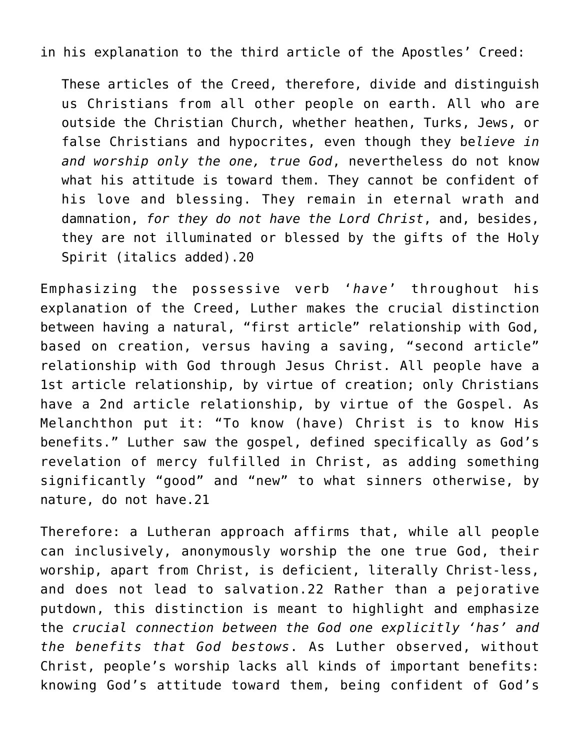in his explanation to the third article of the Apostles' Creed:

These articles of the Creed, therefore, divide and distinguish us Christians from all other people on earth. All who are outside the Christian Church, whether heathen, Turks, Jews, or false Christians and hypocrites, even though they be*lieve in and worship only the one, true God*, nevertheless do not know what his attitude is toward them. They cannot be confident of his love and blessing. They remain in eternal wrath and damnation, *for they do not have the Lord Christ*, and, besides, they are not illuminated or blessed by the gifts of the Holy Spirit (italics added).20

Emphasizing the possessive verb '*have*' throughout his explanation of the Creed, Luther makes the crucial distinction between having a natural, "first article" relationship with God, based on creation, versus having a saving, "second article" relationship with God through Jesus Christ. All people have a 1st article relationship, by virtue of creation; only Christians have a 2nd article relationship, by virtue of the Gospel. As Melanchthon put it: "To know (have) Christ is to know His benefits." Luther saw the gospel, defined specifically as God's revelation of mercy fulfilled in Christ, as adding something significantly "good" and "new" to what sinners otherwise, by nature, do not have.21

Therefore: a Lutheran approach affirms that, while all people can inclusively, anonymously worship the one true God, their worship, apart from Christ, is deficient, literally Christ-less, and does not lead to salvation.22 Rather than a pejorative putdown, this distinction is meant to highlight and emphasize the *crucial connection between the God one explicitly 'has' and the benefits that God bestows*. As Luther observed, without Christ, people's worship lacks all kinds of important benefits: knowing God's attitude toward them, being confident of God's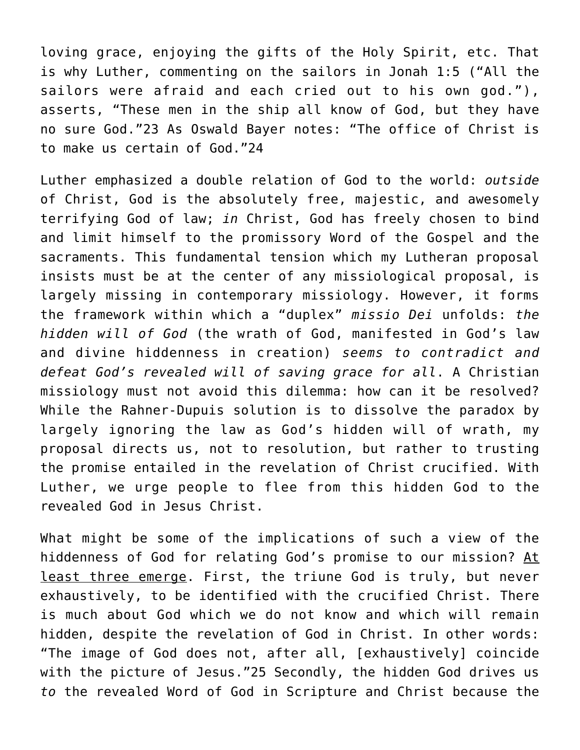loving grace, enjoying the gifts of the Holy Spirit, etc. That is why Luther, commenting on the sailors in Jonah 1:5 ("All the sailors were afraid and each cried out to his own god."), asserts, "These men in the ship all know of God, but they have no sure God."23 As Oswald Bayer notes: "The office of Christ is to make us certain of God."24

Luther emphasized a double relation of God to the world: *outside* of Christ, God is the absolutely free, majestic, and awesomely terrifying God of law; *in* Christ, God has freely chosen to bind and limit himself to the promissory Word of the Gospel and the sacraments. This fundamental tension which my Lutheran proposal insists must be at the center of any missiological proposal, is largely missing in contemporary missiology. However, it forms the framework within which a "duplex" *missio Dei* unfolds: *the hidden will of God* (the wrath of God, manifested in God's law and divine hiddenness in creation) *seems to contradict and defeat God's revealed will of saving grace for all*. A Christian missiology must not avoid this dilemma: how can it be resolved? While the Rahner-Dupuis solution is to dissolve the paradox by largely ignoring the law as God's hidden will of wrath, my proposal directs us, not to resolution, but rather to trusting the promise entailed in the revelation of Christ crucified. With Luther, we urge people to flee from this hidden God to the revealed God in Jesus Christ.

What might be some of the implications of such a view of the hiddenness of God for relating God's promise to our mission? At least three emerge. First, the triune God is truly, but never exhaustively, to be identified with the crucified Christ. There is much about God which we do not know and which will remain hidden, despite the revelation of God in Christ. In other words: "The image of God does not, after all, [exhaustively] coincide with the picture of Jesus."25 Secondly, the hidden God drives us *to* the revealed Word of God in Scripture and Christ because the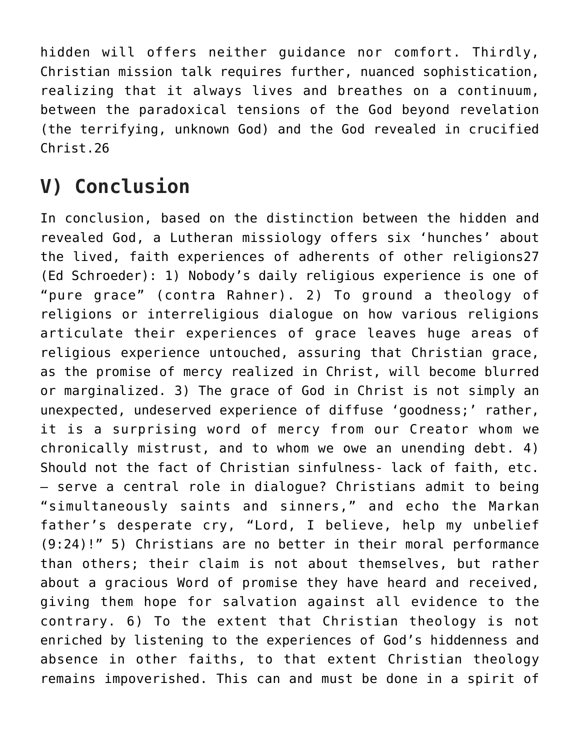hidden will offers neither guidance nor comfort. Thirdly, Christian mission talk requires further, nuanced sophistication, realizing that it always lives and breathes on a continuum, between the paradoxical tensions of the God beyond revelation (the terrifying, unknown God) and the God revealed in crucified Christ.26

### **V) Conclusion**

In conclusion, based on the distinction between the hidden and revealed God, a Lutheran missiology offers six 'hunches' about the lived, faith experiences of adherents of other religions27 (Ed Schroeder): 1) Nobody's daily religious experience is one of "pure grace" (contra Rahner). 2) To ground a theology of religions or interreligious dialogue on how various religions articulate their experiences of grace leaves huge areas of religious experience untouched, assuring that Christian grace, as the promise of mercy realized in Christ, will become blurred or marginalized. 3) The grace of God in Christ is not simply an unexpected, undeserved experience of diffuse 'goodness;' rather, it is a surprising word of mercy from our Creator whom we chronically mistrust, and to whom we owe an unending debt. 4) Should not the fact of Christian sinfulness- lack of faith, etc. – serve a central role in dialogue? Christians admit to being "simultaneously saints and sinners," and echo the Markan father's desperate cry, "Lord, I believe, help my unbelief (9:24)!" 5) Christians are no better in their moral performance than others; their claim is not about themselves, but rather about a gracious Word of promise they have heard and received, giving them hope for salvation against all evidence to the contrary. 6) To the extent that Christian theology is not enriched by listening to the experiences of God's hiddenness and absence in other faiths, to that extent Christian theology remains impoverished. This can and must be done in a spirit of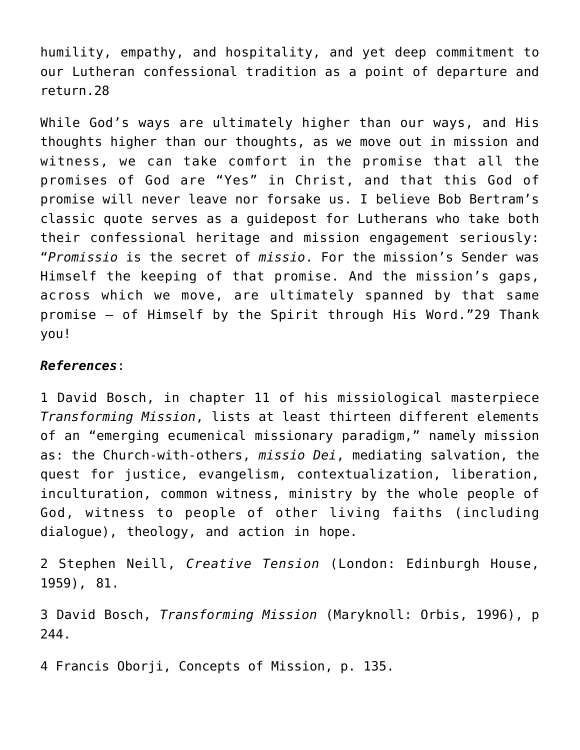humility, empathy, and hospitality, and yet deep commitment to our Lutheran confessional tradition as a point of departure and return.28

While God's ways are ultimately higher than our ways, and His thoughts higher than our thoughts, as we move out in mission and witness, we can take comfort in the promise that all the promises of God are "Yes" in Christ, and that this God of promise will never leave nor forsake us. I believe Bob Bertram's classic quote serves as a guidepost for Lutherans who take both their confessional heritage and mission engagement seriously: "*Promissio* is the secret of *missio*. For the mission's Sender was Himself the keeping of that promise. And the mission's gaps, across which we move, are ultimately spanned by that same promise – of Himself by the Spirit through His Word."29 Thank you!

#### *References*:

1 David Bosch, in chapter 11 of his missiological masterpiece *Transforming Mission*, lists at least thirteen different elements of an "emerging ecumenical missionary paradigm," namely mission as: the Church-with-others, *missio Dei*, mediating salvation, the quest for justice, evangelism, contextualization, liberation, inculturation, common witness, ministry by the whole people of God, witness to people of other living faiths (including dialogue), theology, and action in hope.

2 Stephen Neill, *Creative Tension* (London: Edinburgh House, 1959), 81.

3 David Bosch, *Transforming Mission* (Maryknoll: Orbis, 1996), p 244.

4 Francis Oborji, Concepts of Mission, p. 135.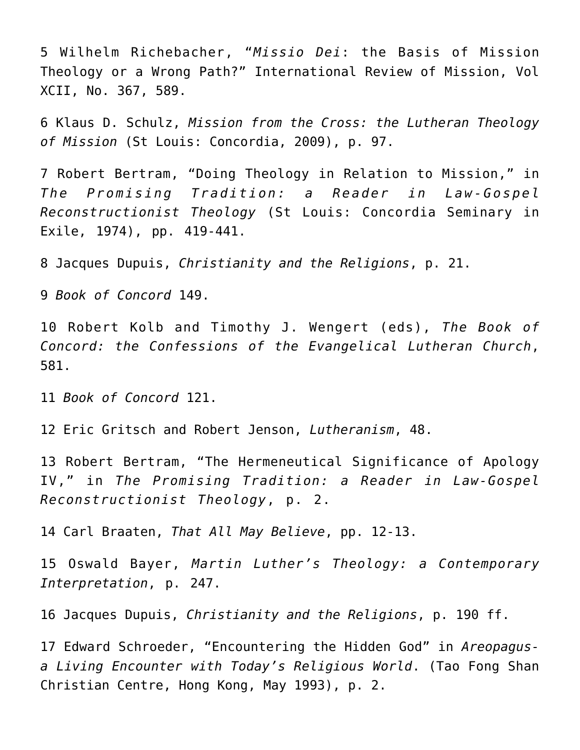5 Wilhelm Richebacher, "*Missio Dei*: the Basis of Mission Theology or a Wrong Path?" International Review of Mission, Vol XCII, No. 367, 589.

6 Klaus D. Schulz, *Mission from the Cross: the Lutheran Theology of Mission* (St Louis: Concordia, 2009), p. 97.

7 Robert Bertram, "Doing Theology in Relation to Mission," in *The Promising Tradition: a Reader in Law-Gospel Reconstructionist Theology* (St Louis: Concordia Seminary in Exile, 1974), pp. 419-441.

8 Jacques Dupuis, *Christianity and the Religions*, p. 21.

9 *Book of Concord* 149.

10 Robert Kolb and Timothy J. Wengert (eds), *The Book of Concord: the Confessions of the Evangelical Lutheran Church*, 581.

11 *Book of Concord* 121.

12 Eric Gritsch and Robert Jenson, *Lutheranism*, 48.

13 Robert Bertram, "The Hermeneutical Significance of Apology IV," in *The Promising Tradition: a Reader in Law-Gospel Reconstructionist Theology*, p. 2.

14 Carl Braaten, *That All May Believe*, pp. 12-13.

15 Oswald Bayer, *Martin Luther's Theology: a Contemporary Interpretation*, p. 247.

16 Jacques Dupuis, *Christianity and the Religions*, p. 190 ff.

17 Edward Schroeder, "Encountering the Hidden God" in *Areopagusa Living Encounter with Today's Religious World*. (Tao Fong Shan Christian Centre, Hong Kong, May 1993), p. 2.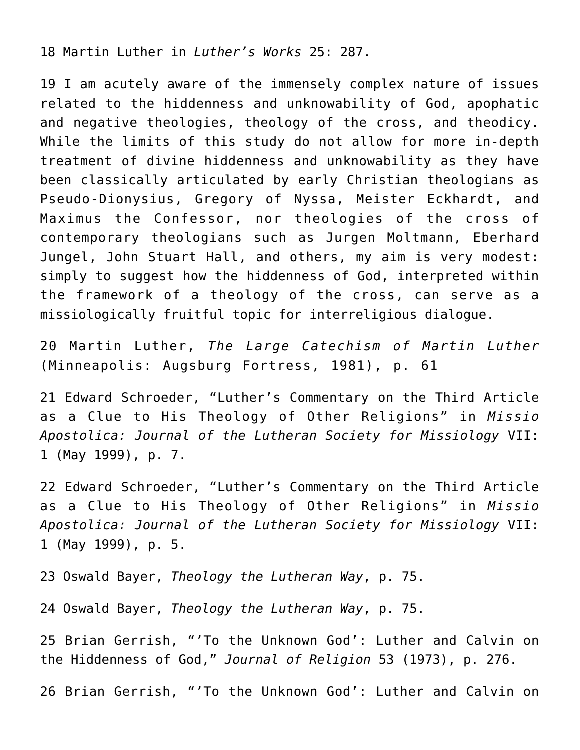18 Martin Luther in *Luther's Works* 25: 287.

19 I am acutely aware of the immensely complex nature of issues related to the hiddenness and unknowability of God, apophatic and negative theologies, theology of the cross, and theodicy. While the limits of this study do not allow for more in-depth treatment of divine hiddenness and unknowability as they have been classically articulated by early Christian theologians as Pseudo-Dionysius, Gregory of Nyssa, Meister Eckhardt, and Maximus the Confessor, nor theologies of the cross of contemporary theologians such as Jurgen Moltmann, Eberhard Jungel, John Stuart Hall, and others, my aim is very modest: simply to suggest how the hiddenness of God, interpreted within the framework of a theology of the cross, can serve as a missiologically fruitful topic for interreligious dialogue.

20 Martin Luther, *The Large Catechism of Martin Luther* (Minneapolis: Augsburg Fortress, 1981), p. 61

21 Edward Schroeder, "Luther's Commentary on the Third Article as a Clue to His Theology of Other Religions" in *Missio Apostolica: Journal of the Lutheran Society for Missiology* VII: 1 (May 1999), p. 7.

22 Edward Schroeder, "Luther's Commentary on the Third Article as a Clue to His Theology of Other Religions" in *Missio Apostolica: Journal of the Lutheran Society for Missiology* VII: 1 (May 1999), p. 5.

23 Oswald Bayer, *Theology the Lutheran Way*, p. 75.

24 Oswald Bayer, *Theology the Lutheran Way*, p. 75.

25 Brian Gerrish, "'To the Unknown God': Luther and Calvin on the Hiddenness of God," *Journal of Religion* 53 (1973), p. 276.

26 Brian Gerrish, "'To the Unknown God': Luther and Calvin on